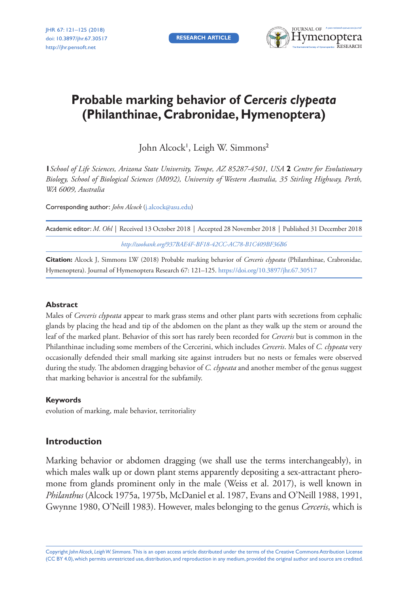**RESEARCH ARTICLE**



# **Probable marking behavior of** *Cerceris clypeata* **(Philanthinae, Crabronidae, Hymenoptera)**

John Alcock', Leigh W. Simmons<del>'</del>

**1***School of Life Sciences, Arizona State University, Tempe, AZ 85287-4501, USA* **2** *Centre for Evolutionary Biology, School of Biological Sciences (M092), University of Western Australia, 35 Stirling Highway, Perth, WA 6009, Australia*

Corresponding author: *John Alcock* ([j.alcock@asu.edu](mailto:j.alcock@asu.edu))

| Academic editor: M. Ohl   Received 13 October 2018   Accepted 28 November 2018   Published 31 December 2018 |
|-------------------------------------------------------------------------------------------------------------|
| http://zoobank.org/937BAE4F-BF18-42CC-AC78-B1C409BF36B6                                                     |

**Citation:** Alcock J, Simmons LW (2018) Probable marking behavior of *Cerceris clypeata* (Philanthinae, Crabronidae, Hymenoptera). Journal of Hymenoptera Research 67: 121–125.<https://doi.org/10.3897/jhr.67.30517>

# **Abstract**

Males of *Cerceris clypeata* appear to mark grass stems and other plant parts with secretions from cephalic glands by placing the head and tip of the abdomen on the plant as they walk up the stem or around the leaf of the marked plant. Behavior of this sort has rarely been recorded for *Cerceris* but is common in the Philanthinae including some members of the Cercerini, which includes *Cerceris*. Males of *C. clypeata* very occasionally defended their small marking site against intruders but no nests or females were observed during the study. The abdomen dragging behavior of *C. clypeata* and another member of the genus suggest that marking behavior is ancestral for the subfamily.

# **Keywords**

evolution of marking, male behavior, territoriality

# **Introduction**

Marking behavior or abdomen dragging (we shall use the terms interchangeably), in which males walk up or down plant stems apparently depositing a sex-attractant pheromone from glands prominent only in the male (Weiss et al. 2017), is well known in *Philanthus* (Alcock 1975a, 1975b, McDaniel et al. 1987, Evans and O'Neill 1988, 1991, Gwynne 1980, O'Neill 1983). However, males belonging to the genus *Cerceris*, which is

Copyright *John Alcock, Leigh W. Simmons.* This is an open access article distributed under the terms of the [Creative Commons Attribution License](http://creativecommons.org/licenses/by/4.0/)  [\(CC BY 4.0\)](http://creativecommons.org/licenses/by/4.0/), which permits unrestricted use, distribution, and reproduction in any medium, provided the original author and source are credited.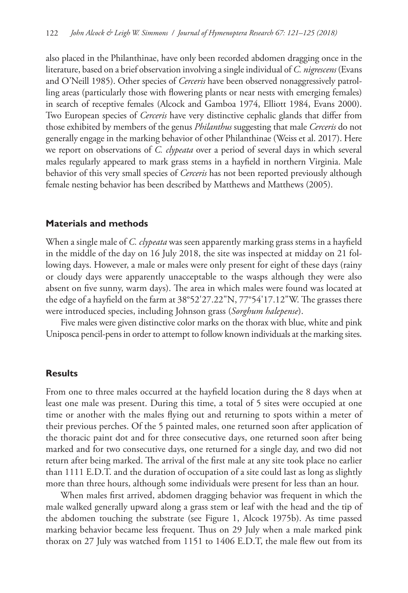also placed in the Philanthinae, have only been recorded abdomen dragging once in the literature, based on a brief observation involving a single individual of *C. nigrescens* (Evans and O'Neill 1985). Other species of *Cerceris* have been observed nonaggressively patrolling areas (particularly those with flowering plants or near nests with emerging females) in search of receptive females (Alcock and Gamboa 1974, Elliott 1984, Evans 2000). Two European species of *Cerceris* have very distinctive cephalic glands that differ from those exhibited by members of the genus *Philanthus* suggesting that male *Cerceris* do not generally engage in the marking behavior of other Philanthinae (Weiss et al. 2017). Here we report on observations of *C. clypeata* over a period of several days in which several males regularly appeared to mark grass stems in a hayfield in northern Virginia. Male behavior of this very small species of *Cerceris* has not been reported previously although female nesting behavior has been described by Matthews and Matthews (2005).

#### **Materials and methods**

When a single male of *C. clypeata* was seen apparently marking grass stems in a hayfield in the middle of the day on 16 July 2018, the site was inspected at midday on 21 following days. However, a male or males were only present for eight of these days (rainy or cloudy days were apparently unacceptable to the wasps although they were also absent on five sunny, warm days). The area in which males were found was located at the edge of a hayfield on the farm at 38°52'27.22"N, 77°54'17.12"W. The grasses there were introduced species, including Johnson grass (*Sorghum halepense*).

Five males were given distinctive color marks on the thorax with blue, white and pink Uniposca pencil-pens in order to attempt to follow known individuals at the marking sites.

# **Results**

From one to three males occurred at the hayfield location during the 8 days when at least one male was present. During this time, a total of 5 sites were occupied at one time or another with the males flying out and returning to spots within a meter of their previous perches. Of the 5 painted males, one returned soon after application of the thoracic paint dot and for three consecutive days, one returned soon after being marked and for two consecutive days, one returned for a single day, and two did not return after being marked. The arrival of the first male at any site took place no earlier than 1111 E.D.T. and the duration of occupation of a site could last as long as slightly more than three hours, although some individuals were present for less than an hour.

When males first arrived, abdomen dragging behavior was frequent in which the male walked generally upward along a grass stem or leaf with the head and the tip of the abdomen touching the substrate (see Figure 1, Alcock 1975b). As time passed marking behavior became less frequent. Thus on 29 July when a male marked pink thorax on 27 July was watched from 1151 to 1406 E.D.T, the male flew out from its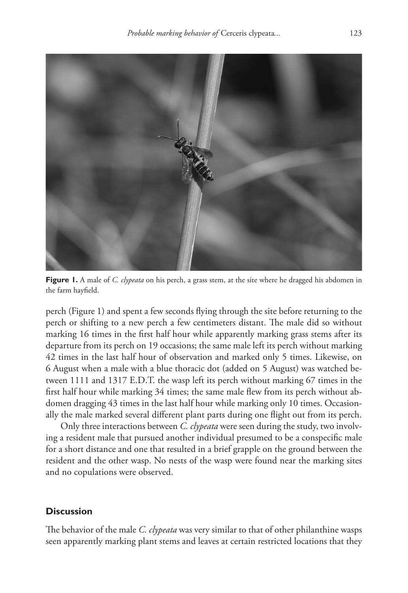

**Figure 1.** A male of *C. clypeata* on his perch, a grass stem, at the site where he dragged his abdomen in the farm hayfield.

perch (Figure 1) and spent a few seconds flying through the site before returning to the perch or shifting to a new perch a few centimeters distant. The male did so without marking 16 times in the first half hour while apparently marking grass stems after its departure from its perch on 19 occasions; the same male left its perch without marking 42 times in the last half hour of observation and marked only 5 times. Likewise, on 6 August when a male with a blue thoracic dot (added on 5 August) was watched between 1111 and 1317 E.D.T. the wasp left its perch without marking 67 times in the first half hour while marking 34 times; the same male flew from its perch without abdomen dragging 43 times in the last half hour while marking only 10 times. Occasionally the male marked several different plant parts during one flight out from its perch.

Only three interactions between *C. clypeata* were seen during the study, two involving a resident male that pursued another individual presumed to be a conspecific male for a short distance and one that resulted in a brief grapple on the ground between the resident and the other wasp. No nests of the wasp were found near the marking sites and no copulations were observed.

# **Discussion**

The behavior of the male *C. clypeata* was very similar to that of other philanthine wasps seen apparently marking plant stems and leaves at certain restricted locations that they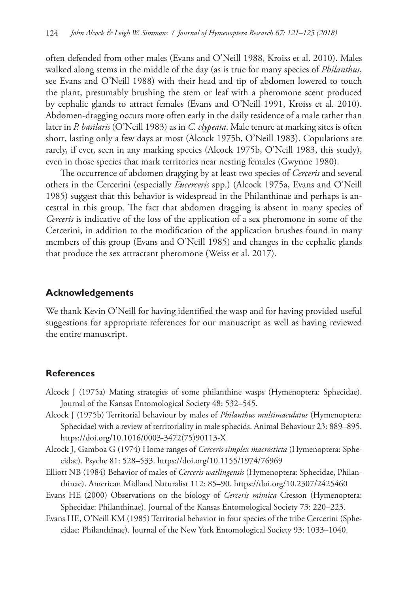often defended from other males (Evans and O'Neill 1988, Kroiss et al. 2010). Males walked along stems in the middle of the day (as is true for many species of *Philanthus*, see Evans and O'Neill 1988) with their head and tip of abdomen lowered to touch the plant, presumably brushing the stem or leaf with a pheromone scent produced by cephalic glands to attract females (Evans and O'Neill 1991, Kroiss et al. 2010). Abdomen-dragging occurs more often early in the daily residence of a male rather than later in *P. basilaris* (O'Neill 1983) as in *C. clypeata*. Male tenure at marking sites is often short, lasting only a few days at most (Alcock 1975b, O'Neill 1983). Copulations are rarely, if ever, seen in any marking species (Alcock 1975b, O'Neill 1983, this study), even in those species that mark territories near nesting females (Gwynne 1980).

The occurrence of abdomen dragging by at least two species of *Cerceris* and several others in the Cercerini (especially *Eucerceris* spp.) (Alcock 1975a, Evans and O'Neill 1985) suggest that this behavior is widespread in the Philanthinae and perhaps is ancestral in this group. The fact that abdomen dragging is absent in many species of *Cerceris* is indicative of the loss of the application of a sex pheromone in some of the Cercerini, in addition to the modification of the application brushes found in many members of this group (Evans and O'Neill 1985) and changes in the cephalic glands that produce the sex attractant pheromone (Weiss et al. 2017).

#### **Acknowledgements**

We thank Kevin O'Neill for having identified the wasp and for having provided useful suggestions for appropriate references for our manuscript as well as having reviewed the entire manuscript.

#### **References**

- Alcock J (1975a) Mating strategies of some philanthine wasps (Hymenoptera: Sphecidae). Journal of the Kansas Entomological Society 48: 532–545.
- Alcock J (1975b) Territorial behaviour by males of *Philanthus multimaculatus* (Hymenoptera: Sphecidae) with a review of territoriality in male sphecids. Animal Behaviour 23: 889–895. [https://doi.org/10.1016/0003-3472\(75\)90113-X](https://doi.org/10.1016/0003-3472(75)90113-X)
- Alcock J, Gamboa G (1974) Home ranges of *Cerceris simplex macrosticta* (Hymenoptera: Sphecidae). Psyche 81: 528–533. <https://doi.org/10.1155/1974/76969>
- Elliott NB (1984) Behavior of males of *Cerceris watlingensis* (Hymenoptera: Sphecidae, Philanthinae). American Midland Naturalist 112: 85–90.<https://doi.org/10.2307/2425460>
- Evans HE (2000) Observations on the biology of *Cerceris mimica* Cresson (Hymenoptera: Sphecidae: Philanthinae). Journal of the Kansas Entomological Society 73: 220–223.
- Evans HE, O'Neill KM (1985) Territorial behavior in four species of the tribe Cercerini (Sphecidae: Philanthinae). Journal of the New York Entomological Society 93: 1033–1040.